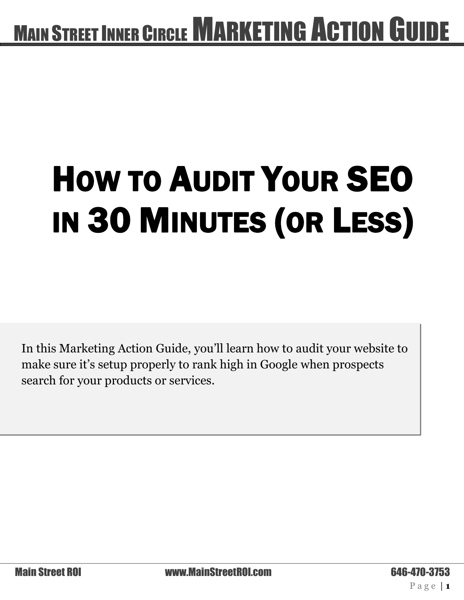# $\overline{a}$ HOW TO AUDIT YOUR SEO IN 30 MINUTES (OR LESS)

In this Marketing Action Guide, you'll learn how to audit your website to make sure it's setup properly to rank high in Google when prospects search for your products or services.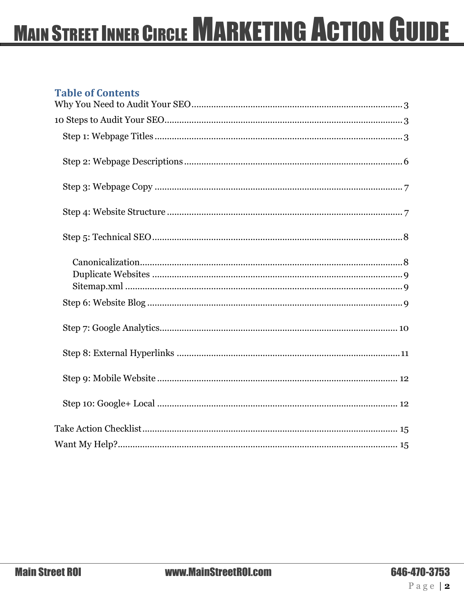#### **Table of Contents**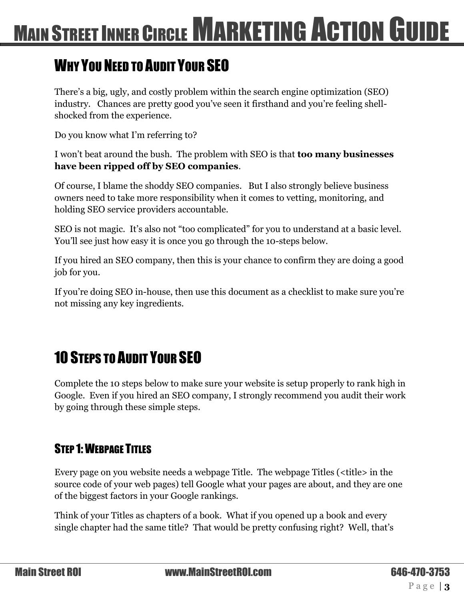#### <span id="page-2-0"></span>WHY YOU NEED TO AUDIT YOUR SEO

There's a big, ugly, and costly problem within the search engine optimization (SEO) industry. Chances are pretty good you've seen it firsthand and you're feeling shellshocked from the experience.

Do you know what I'm referring to?

I won't beat around the bush. The problem with SEO is that **too many businesses have been ripped off by SEO companies**.

Of course, I blame the shoddy SEO companies. But I also strongly believe business owners need to take more responsibility when it comes to vetting, monitoring, and holding SEO service providers accountable.

SEO is not magic. It's also not "too complicated" for you to understand at a basic level. You'll see just how easy it is once you go through the 10-steps below.

If you hired an SEO company, then this is your chance to confirm they are doing a good job for you.

If you're doing SEO in-house, then use this document as a checklist to make sure you're not missing any key ingredients.

### <span id="page-2-1"></span>10 STEPS TO AUDIT YOUR SEO

Complete the 10 steps below to make sure your website is setup properly to rank high in Google. Even if you hired an SEO company, I strongly recommend you audit their work by going through these simple steps.

#### <span id="page-2-2"></span>STEP 1: WEBPAGE TITLES

Every page on you website needs a webpage Title. The webpage Titles (<title> in the source code of your web pages) tell Google what your pages are about, and they are one of the biggest factors in your Google rankings.

Think of your Titles as chapters of a book. What if you opened up a book and every single chapter had the same title? That would be pretty confusing right? Well, that's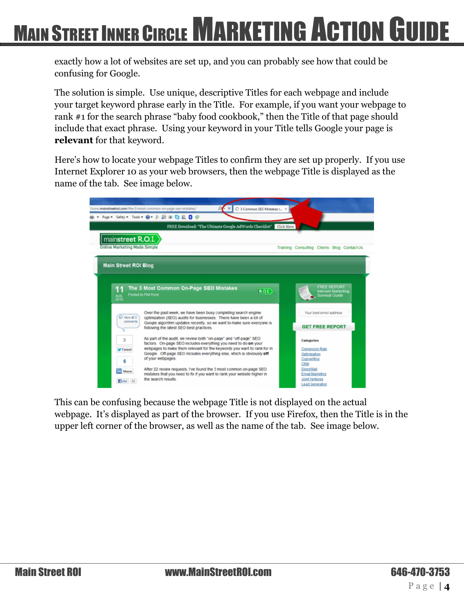exactly how a lot of websites are set up, and you can probably see how that could be confusing for Google.

The solution is simple. Use unique, descriptive Titles for each webpage and include your target keyword phrase early in the Title. For example, if you want your webpage to rank #1 for the search phrase "baby food cookbook," then the Title of that page should include that exact phrase. Using your keyword in your Title tells Google your page is **relevant** for that keyword.

Here's how to locate your webpage Titles to confirm they are set up properly. If you use Internet Explorer 10 as your web browsers, then the webpage Title is displayed as the name of the tab. See image below.



This can be confusing because the webpage Title is not displayed on the actual webpage. It's displayed as part of the browser. If you use Firefox, then the Title is in the upper left corner of the browser, as well as the name of the tab. See image below.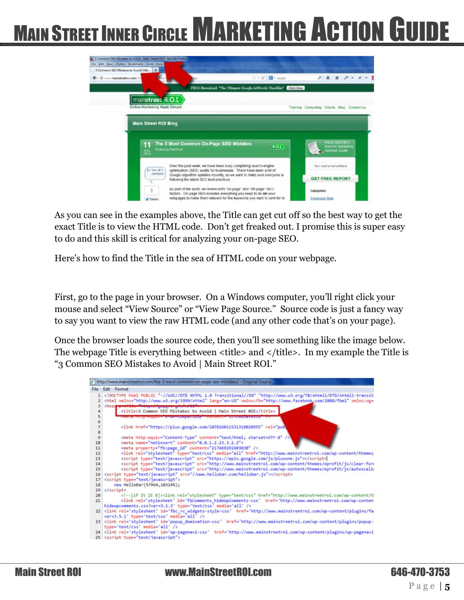

As you can see in the examples above, the Title can get cut off so the best way to get the exact Title is to view the HTML code. Don't get freaked out. I promise this is super easy to do and this skill is critical for analyzing your on-page SEO.

Here's how to find the Title in the sea of HTML code on your webpage.

First, go to the page in your browser. On a Windows computer, you'll right click your mouse and select "View Source" or "View Page Source." Source code is just a fancy way to say you want to view the raw HTML code (and any other code that's on your page).

Once the browser loads the source code, then you'll see something like the image below. The webpage Title is everything between <title> and </title>. In my example the Title is "3 Common SEO Mistakes to Avoid | Main Street ROI."

|                 | http://www.mainstreetroi.com/the-3-most-common-on-page-seo-mistakes/ - Original Source                                                                                                                                                                                                                                                                                                                                                                                                                                                                                                                                                                                                                                                                                                                                                                                                                                                                                                                                                                                                                                                                                                                                                    |
|-----------------|-------------------------------------------------------------------------------------------------------------------------------------------------------------------------------------------------------------------------------------------------------------------------------------------------------------------------------------------------------------------------------------------------------------------------------------------------------------------------------------------------------------------------------------------------------------------------------------------------------------------------------------------------------------------------------------------------------------------------------------------------------------------------------------------------------------------------------------------------------------------------------------------------------------------------------------------------------------------------------------------------------------------------------------------------------------------------------------------------------------------------------------------------------------------------------------------------------------------------------------------|
|                 | File Edit Format                                                                                                                                                                                                                                                                                                                                                                                                                                                                                                                                                                                                                                                                                                                                                                                                                                                                                                                                                                                                                                                                                                                                                                                                                          |
|                 | html PUBLIC "-//W3C//DTD XHTML 1.0 Transitional//EN" "http://www.w3.org/TR/xhtml1/DTD/xhtml1-transit</th                                                                                                                                                                                                                                                                                                                                                                                                                                                                                                                                                                                                                                                                                                                                                                                                                                                                                                                                                                                                                                                                                                                                  |
| $\overline{ }$  | <html lang="en-US" xmlns="http://www.w3.org/1999/xhtml" xmlns:fb="http://www.facebook.com/2008/fbml" xmlns:og="&lt;/td"></html>                                                                                                                                                                                                                                                                                                                                                                                                                                                                                                                                                                                                                                                                                                                                                                                                                                                                                                                                                                                                                                                                                                           |
| х               | chead-<br>a kacamatan ing Kabupatèn Bandaran Indonesia.                                                                                                                                                                                                                                                                                                                                                                                                                                                                                                                                                                                                                                                                                                                                                                                                                                                                                                                                                                                                                                                                                                                                                                                   |
| 4               | <title>3 Common SEO Mistakes to Avoid   Main Street ROI</title>                                                                                                                                                                                                                                                                                                                                                                                                                                                                                                                                                                                                                                                                                                                                                                                                                                                                                                                                                                                                                                                                                                                                                                           |
| 5               | terta Militarreguire Atorticumunidade contente atecnualidad                                                                                                                                                                                                                                                                                                                                                                                                                                                                                                                                                                                                                                                                                                                                                                                                                                                                                                                                                                                                                                                                                                                                                                               |
| 6               |                                                                                                                                                                                                                                                                                                                                                                                                                                                                                                                                                                                                                                                                                                                                                                                                                                                                                                                                                                                                                                                                                                                                                                                                                                           |
| ż               | <link content="text/html; charset=UTF-8" content-type"="" href="https://plus.google.com/107826011531318028955" rel="pub&lt;/td&gt;&lt;/tr&gt;&lt;tr&gt;&lt;td&gt;8&lt;br&gt;9&lt;/td&gt;&lt;td&gt;&lt;/td&gt;&lt;/tr&gt;&lt;tr&gt;&lt;td&gt;10&lt;/td&gt;&lt;td&gt;&lt;meta http-equiv="/><br><meta content="0.0.1.2.23.3.2.2" name="netinsert"/>                                                                                                                                                                                                                                                                                                                                                                                                                                                                                                                                                                                                                                                                                                                                                                                                                                                                                         |
| 11              | <meta content="217469291603030" property="fb:page_id"/>                                                                                                                                                                                                                                                                                                                                                                                                                                                                                                                                                                                                                                                                                                                                                                                                                                                                                                                                                                                                                                                                                                                                                                                   |
| 12              | <link href="http://www.mainstreetroi.com/wp-content/themes,&lt;/td&gt;&lt;/tr&gt;&lt;tr&gt;&lt;td&gt;13&lt;/td&gt;&lt;td&gt;&lt;script type=" javascript"="" media="all" rel="stylesheet" src="https://apis.google.com/js/plusone.js" text="" type="text/css"/>                                                                                                                                                                                                                                                                                                                                                                                                                                                                                                                                                                                                                                                                                                                                                                                                                                                                                                                                                                           |
| 14              | <script javascript"="" src="//www.hellobar.com/hellobar.js" text="" type="text/javascript"></script>                                                                                                                                                                                                                                                                                                                                                                                                                                                                                                                                                                                                                                                                                                                                                                                                                                                                                                                                                                                                                                                                                                                                      |
| 17              | <script type="text/javascript"></td></tr><tr><td>18</td><td>new HelloBar(57964,103145);</td></tr><tr><td>19<sup>°</sup></td><td></script>                                                                                                                                                                                                                                                                                                                                                                                                                                                                                                                                                                                                                                                                                                                                                                                                                                                                                                                                                                                                                                                                                                 |
| 20 <sub>0</sub> | <!--[if lt IE 8]> <link href="http://www.mainstreetroi.com/wp-content/tl&lt;/td&gt;&lt;/tr&gt;&lt;tr&gt;&lt;td&gt;21&lt;/td&gt;&lt;td&gt;&lt;link rel='stylesheet' id='fbComments hideWpComments-css' href='http://www.mainstreetroi.com/wp-conten&lt;/td&gt;&lt;/tr&gt;&lt;tr&gt;&lt;td&gt;&lt;/td&gt;&lt;td&gt;hidewpcomments.css?ver=3.1.3' type='text/css' media='all' /&gt;&lt;/td&gt;&lt;/tr&gt;&lt;tr&gt;&lt;td&gt;&lt;/td&gt;&lt;td&gt;22 &lt;link rel='stylesheet' id='fbc_rc_widgets-style-css' href='http://www.mainstreetroi.com/wp-content/plugins/fa&lt;/td&gt;&lt;/tr&gt;&lt;tr&gt;&lt;td&gt;&lt;/td&gt;&lt;td&gt;ver=3.5.1' type='text/css' media='all' /&gt;&lt;/td&gt;&lt;/tr&gt;&lt;tr&gt;&lt;td&gt;&lt;/td&gt;&lt;td&gt;23 &lt;link rel='stylesheet' id='popup_domination-css' href='http://www.mainstreetroi.com/wp-content/plugins/popup-&lt;/td&gt;&lt;/tr&gt;&lt;tr&gt;&lt;td&gt;&lt;/td&gt;&lt;td&gt;type='text/css' media='all' /&gt;&lt;/td&gt;&lt;/tr&gt;&lt;tr&gt;&lt;td&gt;&lt;/td&gt;&lt;td&gt;24 &lt;link rel='stylesheet' id='wp-pagenavi-css' href='http://www.mainstreetroi.com/wp-content/plugins/wp-pagenavi&lt;br&gt;25 &lt;script type=" iavascript"="" rel="stylesheet" text="" type="text/css"/> |
|                 |                                                                                                                                                                                                                                                                                                                                                                                                                                                                                                                                                                                                                                                                                                                                                                                                                                                                                                                                                                                                                                                                                                                                                                                                                                           |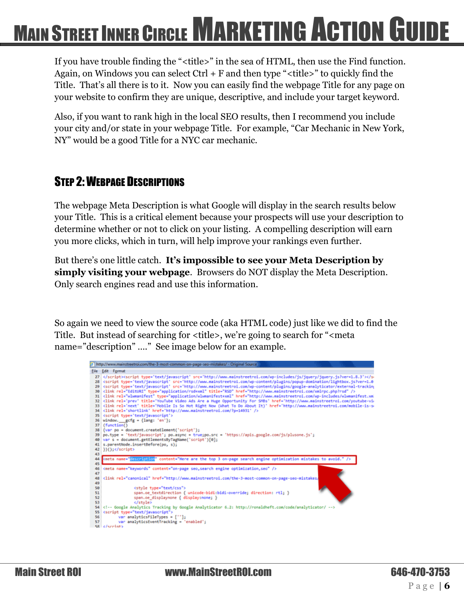If you have trouble finding the "<title>" in the sea of HTML, then use the Find function. Again, on Windows you can select  $Ctrl + F$  and then type " $\lt$ title $\gt$ " to quickly find the Title. That's all there is to it. Now you can easily find the webpage Title for any page on your website to confirm they are unique, descriptive, and include your target keyword.

Also, if you want to rank high in the local SEO results, then I recommend you include your city and/or state in your webpage Title. For example, "Car Mechanic in New York, NY" would be a good Title for a NYC car mechanic.

#### <span id="page-5-0"></span>STEP 2: WEBPAGE DESCRIPTIONS

The webpage Meta Description is what Google will display in the search results below your Title. This is a critical element because your prospects will use your description to determine whether or not to click on your listing. A compelling description will earn you more clicks, which in turn, will help improve your rankings even further.

But there's one little catch. **It's impossible to see your Meta Description by simply visiting your webpage**. Browsers do NOT display the Meta Description. Only search engines read and use this information.

So again we need to view the source code (aka HTML code) just like we did to find the Title. But instead of searching for <title>, we're going to search for "<meta name="description" …." See image below for an example.

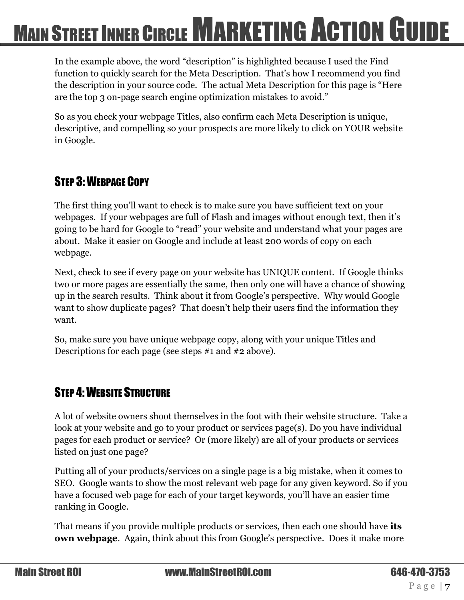In the example above, the word "description" is highlighted because I used the Find function to quickly search for the Meta Description. That's how I recommend you find the description in your source code. The actual Meta Description for this page is "Here are the top 3 on-page search engine optimization mistakes to avoid."

So as you check your webpage Titles, also confirm each Meta Description is unique, descriptive, and compelling so your prospects are more likely to click on YOUR website in Google.

#### <span id="page-6-0"></span>STEP 3: WEBPAGE COPY

The first thing you'll want to check is to make sure you have sufficient text on your webpages. If your webpages are full of Flash and images without enough text, then it's going to be hard for Google to "read" your website and understand what your pages are about. Make it easier on Google and include at least 200 words of copy on each webpage.

Next, check to see if every page on your website has UNIQUE content. If Google thinks two or more pages are essentially the same, then only one will have a chance of showing up in the search results. Think about it from Google's perspective. Why would Google want to show duplicate pages? That doesn't help their users find the information they want.

So, make sure you have unique webpage copy, along with your unique Titles and Descriptions for each page (see steps #1 and #2 above).

#### <span id="page-6-1"></span>STEP 4: WEBSITE STRUCTURE

A lot of website owners shoot themselves in the foot with their website structure. Take a look at your website and go to your product or services page(s). Do you have individual pages for each product or service? Or (more likely) are all of your products or services listed on just one page?

Putting all of your products/services on a single page is a big mistake, when it comes to SEO. Google wants to show the most relevant web page for any given keyword. So if you have a focused web page for each of your target keywords, you'll have an easier time ranking in Google.

That means if you provide multiple products or services, then each one should have **its own webpage**. Again, think about this from Google's perspective. Does it make more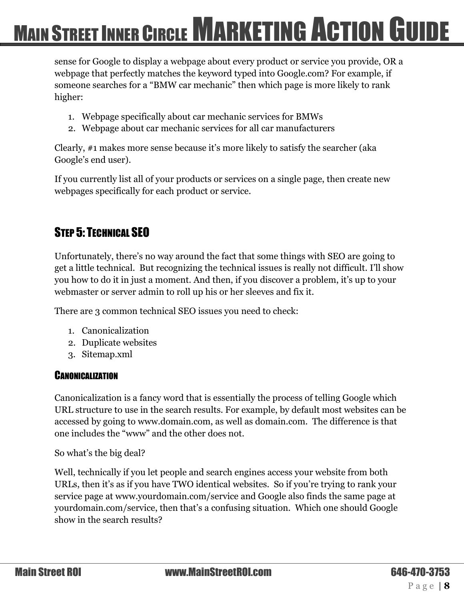sense for Google to display a webpage about every product or service you provide, OR a webpage that perfectly matches the keyword typed into Google.com? For example, if someone searches for a "BMW car mechanic" then which page is more likely to rank higher:

- 1. Webpage specifically about car mechanic services for BMWs
- 2. Webpage about car mechanic services for all car manufacturers

Clearly, #1 makes more sense because it's more likely to satisfy the searcher (aka Google's end user).

If you currently list all of your products or services on a single page, then create new webpages specifically for each product or service.

#### <span id="page-7-0"></span>STEP 5: TECHNICAL SEO

Unfortunately, there's no way around the fact that some things with SEO are going to get a little technical. But recognizing the technical issues is really not difficult. I'll show you how to do it in just a moment. And then, if you discover a problem, it's up to your webmaster or server admin to roll up his or her sleeves and fix it.

There are 3 common technical SEO issues you need to check:

- 1. Canonicalization
- 2. Duplicate websites
- 3. Sitemap.xml

#### <span id="page-7-1"></span>**CANONICALIZATION**

Canonicalization is a fancy word that is essentially the process of telling Google which URL structure to use in the search results. For example, by default most websites can be accessed by going to www.domain.com, as well as domain.com. The difference is that one includes the "www" and the other does not.

So what's the big deal?

Well, technically if you let people and search engines access your website from both URLs, then it's as if you have TWO identical websites. So if you're trying to rank your service page at www.yourdomain.com/service and Google also finds the same page at yourdomain.com/service, then that's a confusing situation. Which one should Google show in the search results?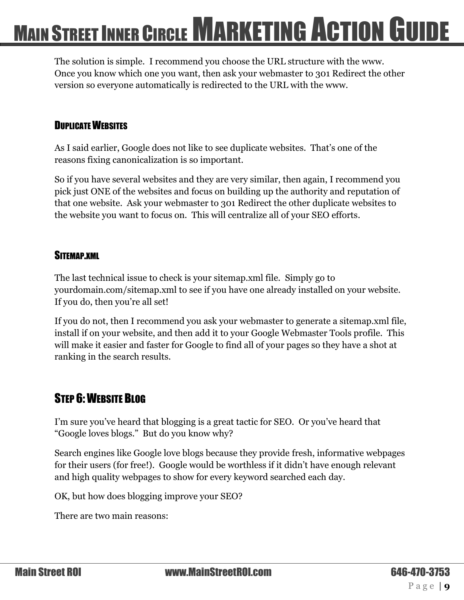The solution is simple. I recommend you choose the URL structure with the www. Once you know which one you want, then ask your webmaster to 301 Redirect the other version so everyone automatically is redirected to the URL with the www.

#### <span id="page-8-0"></span>DUPLICATE WEBSITES

As I said earlier, Google does not like to see duplicate websites. That's one of the reasons fixing canonicalization is so important.

So if you have several websites and they are very similar, then again, I recommend you pick just ONE of the websites and focus on building up the authority and reputation of that one website. Ask your webmaster to 301 Redirect the other duplicate websites to the website you want to focus on. This will centralize all of your SEO efforts.

#### <span id="page-8-1"></span>SITEMAP.XML

The last technical issue to check is your sitemap.xml file. Simply go to yourdomain.com/sitemap.xml to see if you have one already installed on your website. If you do, then you're all set!

If you do not, then I recommend you ask your webmaster to generate a sitemap.xml file, install if on your website, and then add it to your Google Webmaster Tools profile. This will make it easier and faster for Google to find all of your pages so they have a shot at ranking in the search results.

#### <span id="page-8-2"></span>STEP 6: WEBSITE BLOG

I'm sure you've heard that blogging is a great tactic for SEO. Or you've heard that "Google loves blogs." But do you know why?

Search engines like Google love blogs because they provide fresh, informative webpages for their users (for free!). Google would be worthless if it didn't have enough relevant and high quality webpages to show for every keyword searched each day.

OK, but how does blogging improve your SEO?

There are two main reasons: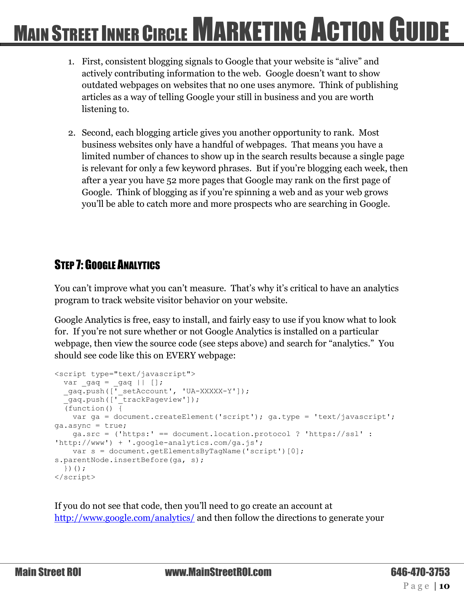- 1. First, consistent blogging signals to Google that your website is "alive" and actively contributing information to the web. Google doesn't want to show outdated webpages on websites that no one uses anymore. Think of publishing articles as a way of telling Google your still in business and you are worth listening to.
- 2. Second, each blogging article gives you another opportunity to rank. Most business websites only have a handful of webpages. That means you have a limited number of chances to show up in the search results because a single page is relevant for only a few keyword phrases. But if you're blogging each week, then after a year you have 52 more pages that Google may rank on the first page of Google. Think of blogging as if you're spinning a web and as your web grows you'll be able to catch more and more prospects who are searching in Google.

#### <span id="page-9-0"></span>**STEP 7: GOOGLE ANALYTICS**

You can't improve what you can't measure. That's why it's critical to have an analytics program to track website visitor behavior on your website.

Google Analytics is free, easy to install, and fairly easy to use if you know what to look for. If you're not sure whether or not Google Analytics is installed on a particular webpage, then view the source code (see steps above) and search for "analytics." You should see code like this on EVERY webpage:

```
<script type="text/javascript">
  var \text{gaq} = \text{gaq} || [];
  gaq.push([' setAccount', 'UA-XXXXX-Y']);
   _gaq.push(['_trackPageview']);
  \overline{f} (function () \overline{f} var ga = document.createElement('script'); ga.type = 'text/javascript'; 
ga.async = true;
     ga.src = ('https:' == document.location.protocol ? 'https://ssl' : 
'http://www') + '.google-analytics.com/ga.js';
    var s = document.getElementsByTagName('script')[0];
s.parentNode.insertBefore(ga, s);
   })();
</script>
```
If you do not see that code, then you'll need to go create an account at <http://www.google.com/analytics/>and then follow the directions to generate your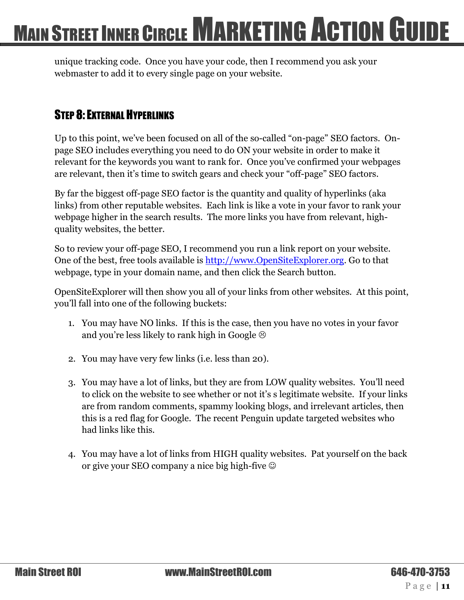unique tracking code. Once you have your code, then I recommend you ask your webmaster to add it to every single page on your website.

#### <span id="page-10-0"></span>STEP 8: EXTERNAL HYPERLINKS

Up to this point, we've been focused on all of the so-called "on-page" SEO factors. Onpage SEO includes everything you need to do ON your website in order to make it relevant for the keywords you want to rank for. Once you've confirmed your webpages are relevant, then it's time to switch gears and check your "off-page" SEO factors.

By far the biggest off-page SEO factor is the quantity and quality of hyperlinks (aka links) from other reputable websites. Each link is like a vote in your favor to rank your webpage higher in the search results. The more links you have from relevant, highquality websites, the better.

So to review your off-page SEO, I recommend you run a link report on your website. One of the best, free tools available is [http://www.OpenSiteExplorer.org.](http://www.opensiteexplorer.org/) Go to that webpage, type in your domain name, and then click the Search button.

OpenSiteExplorer will then show you all of your links from other websites. At this point, you'll fall into one of the following buckets:

- 1. You may have NO links. If this is the case, then you have no votes in your favor and you're less likely to rank high in Google  $\odot$
- 2. You may have very few links (i.e. less than 20).
- 3. You may have a lot of links, but they are from LOW quality websites. You'll need to click on the website to see whether or not it's s legitimate website. If your links are from random comments, spammy looking blogs, and irrelevant articles, then this is a red flag for Google. The recent Penguin update targeted websites who had links like this.
- 4. You may have a lot of links from HIGH quality websites. Pat yourself on the back or give your SEO company a nice big high-five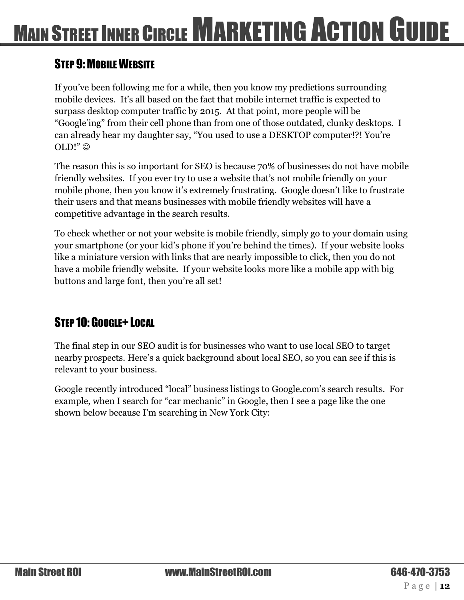#### <span id="page-11-0"></span>STEP 9: MOBILE WEBSITE

If you've been following me for a while, then you know my predictions surrounding mobile devices. It's all based on the fact that mobile internet traffic is expected to surpass desktop computer traffic by 2015. At that point, more people will be "Google'ing" from their cell phone than from one of those outdated, clunky desktops. I can already hear my daughter say, "You used to use a DESKTOP computer!?! You're OLD!"  $\odot$ 

The reason this is so important for SEO is because 70% of businesses do not have mobile friendly websites. If you ever try to use a website that's not mobile friendly on your mobile phone, then you know it's extremely frustrating. Google doesn't like to frustrate their users and that means businesses with mobile friendly websites will have a competitive advantage in the search results.

To check whether or not your website is mobile friendly, simply go to your domain using your smartphone (or your kid's phone if you're behind the times). If your website looks like a miniature version with links that are nearly impossible to click, then you do not have a mobile friendly website. If your website looks more like a mobile app with big buttons and large font, then you're all set!

#### <span id="page-11-1"></span>STEP 10: GOOGLE+ LOCAL

The final step in our SEO audit is for businesses who want to use local SEO to target nearby prospects. Here's a quick background about local SEO, so you can see if this is relevant to your business.

Google recently introduced "local" business listings to Google.com's search results. For example, when I search for "car mechanic" in Google, then I see a page like the one shown below because I'm searching in New York City: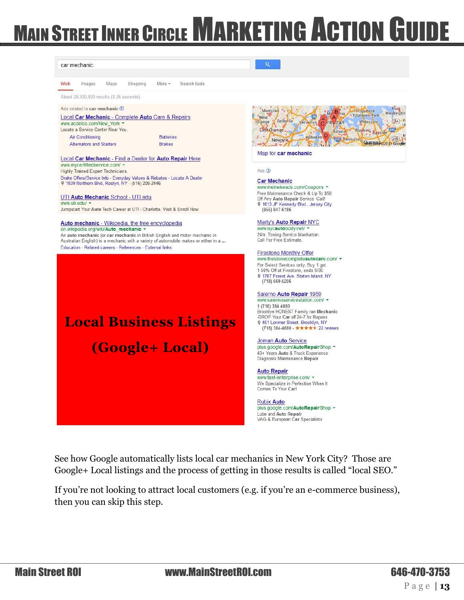Montclair

Belleville

West

Îм.

Edgewater

Search tools



See how Google automatically lists local car mechanics in New York City? Those are Google+ Local listings and the process of getting in those results is called "local SEO."

If you're not looking to attract local customers (e.g. if you're an e-commerce business), then you can skip this step.

car mechanic

Images

Maps

About 29 300,000 results (0.36 seconds) Ads related to car mechanic (i)

Shopping

Local Car Mechanic - Complete Auto Care & Repairs

More -

Web

Port<br>Washingtor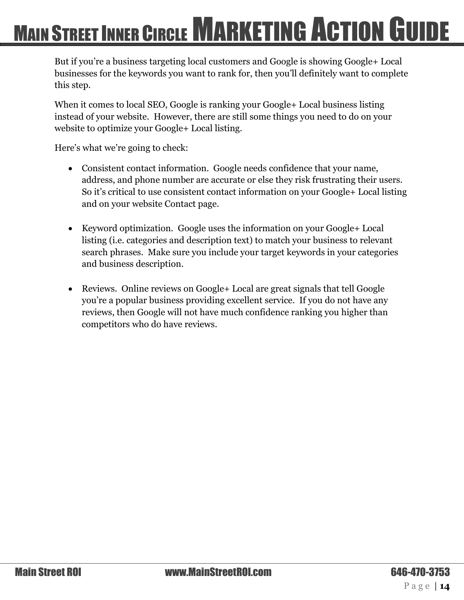But if you're a business targeting local customers and Google is showing Google+ Local businesses for the keywords you want to rank for, then you'll definitely want to complete this step.

When it comes to local SEO, Google is ranking your Google+ Local business listing instead of your website. However, there are still some things you need to do on your website to optimize your Google+ Local listing.

Here's what we're going to check:

- Consistent contact information. Google needs confidence that your name, address, and phone number are accurate or else they risk frustrating their users. So it's critical to use consistent contact information on your Google+ Local listing and on your website Contact page.
- Keyword optimization. Google uses the information on your Google+ Local listing (i.e. categories and description text) to match your business to relevant search phrases. Make sure you include your target keywords in your categories and business description.
- Reviews. Online reviews on Google+ Local are great signals that tell Google you're a popular business providing excellent service. If you do not have any reviews, then Google will not have much confidence ranking you higher than competitors who do have reviews.